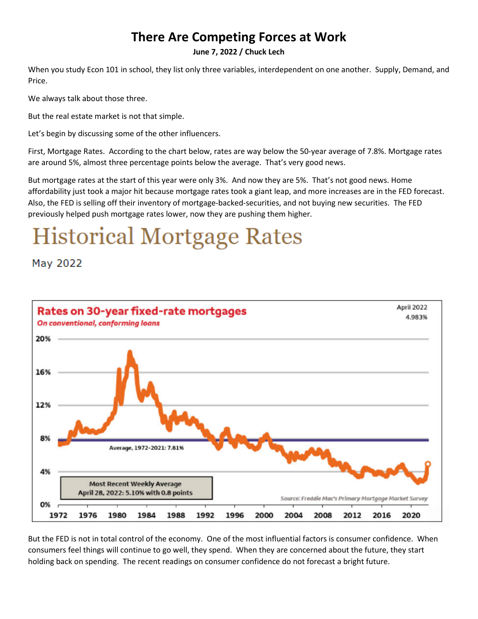## **There Are Competing Forces at Work**

## **June 7, 2022 / Chuck Lech**

When you study Econ 101 in school, they list only three variables, interdependent on one another. Supply, Demand, and Price.

We always talk about those three.

But the real estate market is not that simple.

Let's begin by discussing some of the other influencers.

First, Mortgage Rates. According to the chart below, rates are way below the 50-year average of 7.8%. Mortgage rates are around 5%, almost three percentage points below the average. That's very good news.

But mortgage rates at the start of this year were only 3%. And now they are 5%. That's not good news. Home affordability just took a major hit because mortgage rates took a giant leap, and more increases are in the FED forecast. Also, the FED is selling off their inventory of mortgage-backed-securities, and not buying new securities. The FED previously helped push mortgage rates lower, now they are pushing them higher.

## **Historical Mortgage Rates**

May 2022



But the FED is not in total control of the economy. One of the most influential factors is consumer confidence. When consumers feel things will continue to go well, they spend. When they are concerned about the future, they start holding back on spending. The recent readings on consumer confidence do not forecast a bright future.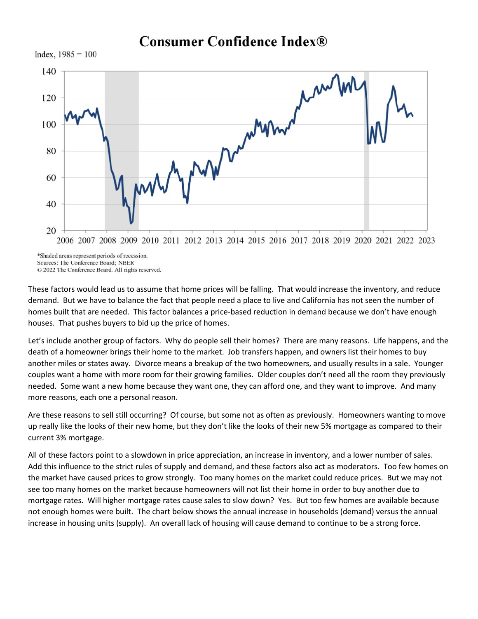

**Consumer Confidence Index®** 

\*Shaded areas represent periods of recession. Sources: The Conference Board: NBER © 2022 The Conference Board. All rights reserved.

These factors would lead us to assume that home prices will be falling. That would increase the inventory, and reduce demand. But we have to balance the fact that people need a place to live and California has not seen the number of homes built that are needed. This factor balances a price-based reduction in demand because we don't have enough houses. That pushes buyers to bid up the price of homes.

Let's include another group of factors. Why do people sell their homes? There are many reasons. Life happens, and the death of a homeowner brings their home to the market. Job transfers happen, and owners list their homes to buy another miles or states away. Divorce means a breakup of the two homeowners, and usually results in a sale. Younger couples want a home with more room for their growing families. Older couples don't need all the room they previously needed. Some want a new home because they want one, they can afford one, and they want to improve. And many more reasons, each one a personal reason.

Are these reasons to sell still occurring? Of course, but some not as often as previously. Homeowners wanting to move up really like the looks of their new home, but they don't like the looks of their new 5% mortgage as compared to their current 3% mortgage.

All of these factors point to a slowdown in price appreciation, an increase in inventory, and a lower number of sales. Add this influence to the strict rules of supply and demand, and these factors also act as moderators. Too few homes on the market have caused prices to grow strongly. Too many homes on the market could reduce prices. But we may not see too many homes on the market because homeowners will not list their home in order to buy another due to mortgage rates. Will higher mortgage rates cause sales to slow down? Yes. But too few homes are available because not enough homes were built. The chart below shows the annual increase in households (demand) versus the annual increase in housing units (supply). An overall lack of housing will cause demand to continue to be a strong force.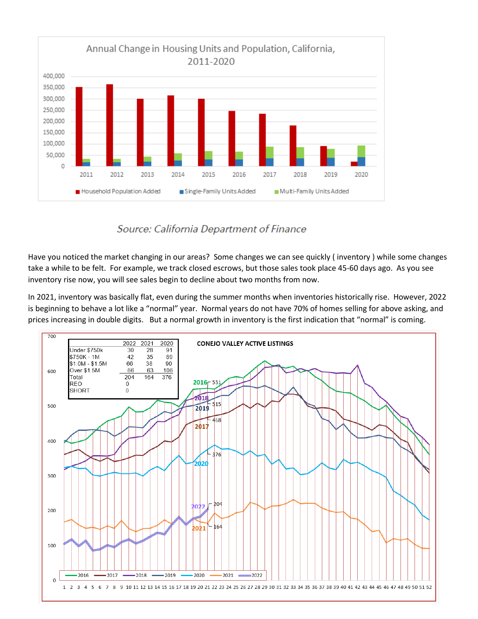

## Source: California Department of Finance

Have you noticed the market changing in our areas? Some changes we can see quickly ( inventory ) while some changes take a while to be felt. For example, we track closed escrows, but those sales took place 45-60 days ago. As you see inventory rise now, you will see sales begin to decline about two months from now.

In 2021, inventory was basically flat, even during the summer months when inventories historically rise. However, 2022 is beginning to behave a lot like a "normal" year. Normal years do not have 70% of homes selling for above asking, and prices increasing in double digits. But a normal growth in inventory is the first indication that "normal" is coming.

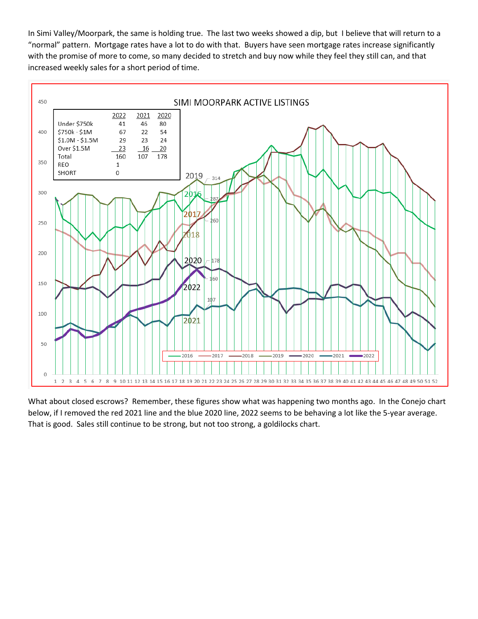In Simi Valley/Moorpark, the same is holding true. The last two weeks showed a dip, but I believe that will return to a "normal" pattern. Mortgage rates have a lot to do with that. Buyers have seen mortgage rates increase significantly with the promise of more to come, so many decided to stretch and buy now while they feel they still can, and that increased weekly sales for a short period of time.



What about closed escrows? Remember, these figures show what was happening two months ago. In the Conejo chart below, if I removed the red 2021 line and the blue 2020 line, 2022 seems to be behaving a lot like the 5-year average. That is good. Sales still continue to be strong, but not too strong, a goldilocks chart.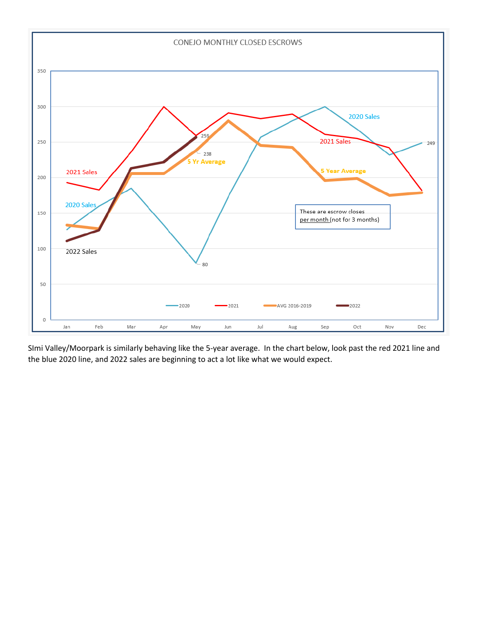

SImi Valley/Moorpark is similarly behaving like the 5-year average. In the chart below, look past the red 2021 line and the blue 2020 line, and 2022 sales are beginning to act a lot like what we would expect.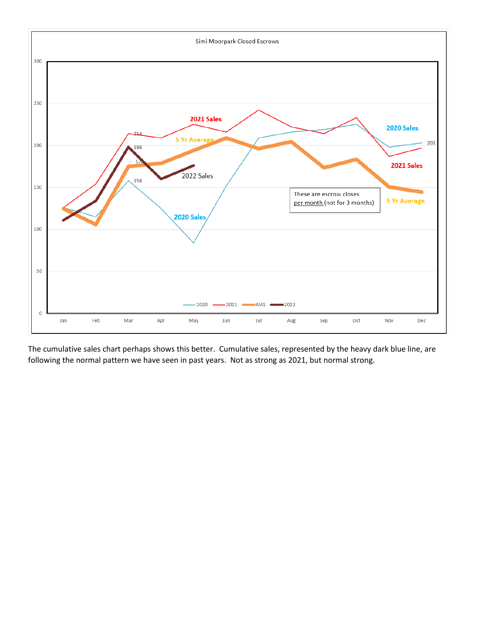

The cumulative sales chart perhaps shows this better. Cumulative sales, represented by the heavy dark blue line, are following the normal pattern we have seen in past years. Not as strong as 2021, but normal strong.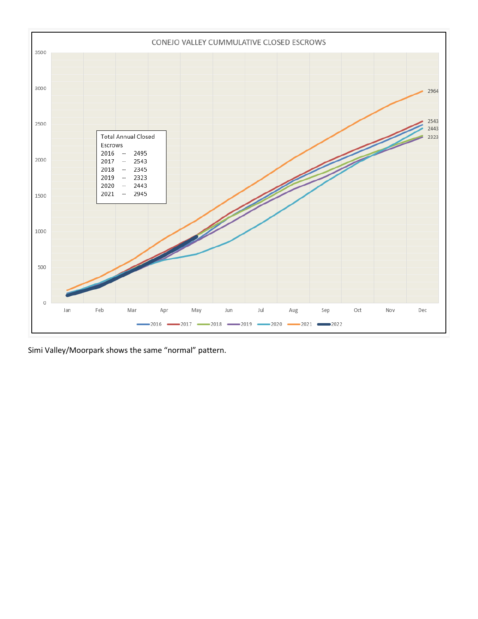

Simi Valley/Moorpark shows the same "normal" pattern.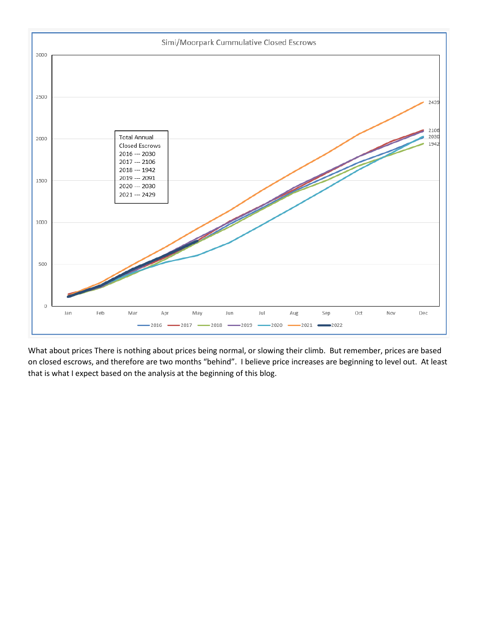

What about prices There is nothing about prices being normal, or slowing their climb. But remember, prices are based on closed escrows, and therefore are two months "behind". I believe price increases are beginning to level out. At least that is what I expect based on the analysis at the beginning of this blog.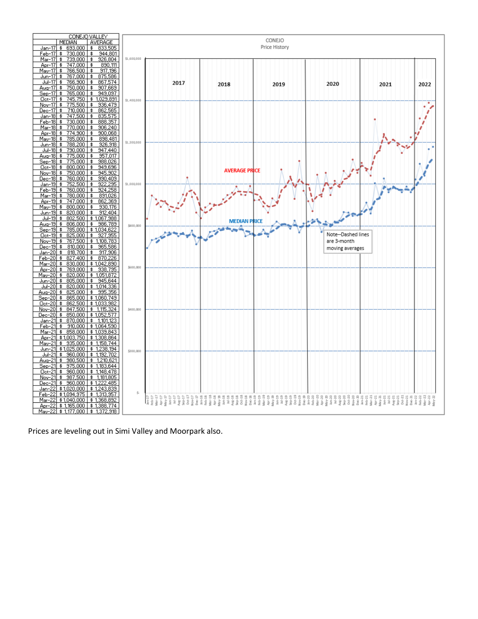

Prices are leveling out in Simi Valley and Moorpark also.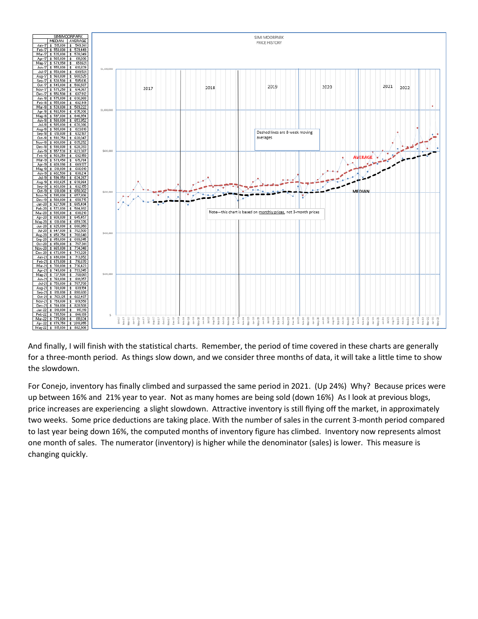

And finally, I will finish with the statistical charts. Remember, the period of time covered in these charts are generally for a three-month period. As things slow down, and we consider three months of data, it will take a little time to show the slowdown.

For Conejo, inventory has finally climbed and surpassed the same period in 2021. (Up 24%) Why? Because prices were up between 16% and 21% year to year. Not as many homes are being sold (down 16%) As I look at previous blogs, price increases are experiencing a slight slowdown. Attractive inventory is still flying off the market, in approximately two weeks. Some price deductions are taking place. With the number of sales in the current 3-month period compared to last year being down 16%, the computed months of inventory figure has climbed. Inventory now represents almost one month of sales. The numerator (inventory) is higher while the denominator (sales) is lower. This measure is changing quickly.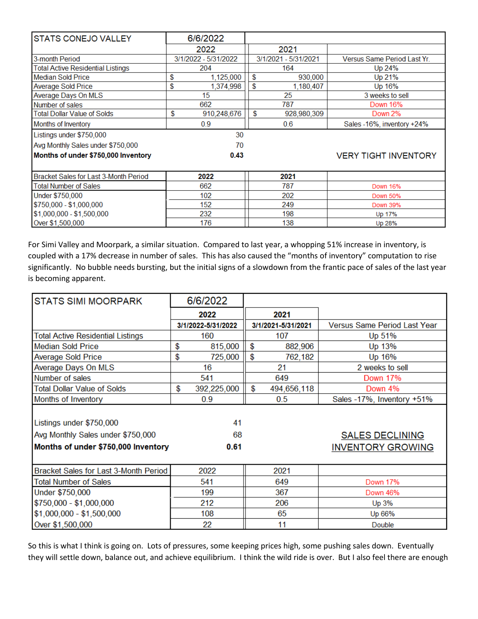| <b>STATS CONEJO VALLEY</b>               |                      | 6/6/2022    |                      |                             |                             |
|------------------------------------------|----------------------|-------------|----------------------|-----------------------------|-----------------------------|
|                                          | 2022                 |             | 2021                 |                             |                             |
| 3-month Period                           | 3/1/2022 - 5/31/2022 |             | 3/1/2021 - 5/31/2021 |                             | Versus Same Period Last Yr. |
| <b>Total Active Residential Listings</b> | 204                  |             | 164                  |                             | Up 24%                      |
| <b>Median Sold Price</b>                 | \$                   | 1,125,000   | \$                   | 930,000                     | Up 21%                      |
| <b>Average Sold Price</b>                | \$                   | 1,374,998   | \$                   | 1,180,407                   | Up 16%                      |
| Average Days On MLS                      |                      | 15          |                      | 25                          | 3 weeks to sell             |
| Number of sales                          |                      | 662         |                      | 787                         | Down 16%                    |
| Total Dollar Value of Solds              | \$                   | 910,248,676 | \$                   | 928,980,309                 | Down 2%                     |
| Months of Inventory                      |                      | 0.9         |                      | 0.6                         | Sales -16%, inventory +24%  |
| Listings under \$750,000                 |                      | 30          |                      |                             |                             |
| Avg Monthly Sales under \$750,000        | 70                   |             |                      |                             |                             |
| Months of under \$750,000 Inventory      | 0.43                 |             |                      | <b>VERY TIGHT INVENTORY</b> |                             |
| Bracket Sales for Last 3-Month Period    |                      | 2022        |                      | 2021                        |                             |
| <b>Total Number of Sales</b>             |                      | 662         |                      | 787                         | <b>Down 16%</b>             |
| Under \$750,000                          |                      | 102         |                      | 202                         | Down 50%                    |
| \$750,000 - \$1,000,000                  |                      | 152         |                      | 249                         | Down 39%                    |
| \$1,000,000 - \$1,500,000                |                      | 232         |                      | 198                         | Up 17%                      |
| Over \$1,500,000                         |                      | 176         |                      | 138                         | Up 28%                      |

For Simi Valley and Moorpark, a similar situation. Compared to last year, a whopping 51% increase in inventory, is coupled with a 17% decrease in number of sales. This has also caused the "months of inventory" computation to rise significantly. No bubble needs bursting, but the initial signs of a slowdown from the frantic pace of sales of the last year is becoming apparent.

| <b>STATS SIMI MOORPARK</b>                  | 6/6/2022           |                    |                              |
|---------------------------------------------|--------------------|--------------------|------------------------------|
|                                             | 2022               | 2021               |                              |
|                                             | 3/1/2022-5/31/2022 | 3/1/2021-5/31/2021 | Versus Same Period Last Year |
| <b>Total Active Residential Listings</b>    | 160                | 107                | Up 51%                       |
| <b>Median Sold Price</b>                    | \$<br>815,000      | \$<br>882,906      | Up 13%                       |
| <b>Average Sold Price</b>                   | \$<br>725,000      | \$<br>762,182      | Up 16%                       |
| Average Days On MLS                         | 16                 | 21                 | 2 weeks to sell              |
| Number of sales                             | 541                | 649                | <b>Down 17%</b>              |
| <b>Total Dollar Value of Solds</b>          | \$<br>392,225,000  | \$<br>494,656,118  | Down 4%                      |
| Months of Inventory                         | 0.9                | 0.5                | Sales -17%, Inventory +51%   |
|                                             |                    |                    |                              |
| Listings under \$750,000                    | 41                 |                    |                              |
| Avg Monthly Sales under \$750,000           | 68                 |                    | <b>SALES DECLINING</b>       |
| Months of under \$750,000 Inventory<br>0.61 |                    |                    | <b>INVENTORY GROWING</b>     |
|                                             |                    |                    |                              |
| Bracket Sales for Last 3-Month Period       | 2022               | 2021               |                              |
| <b>Total Number of Sales</b>                | 541                | 649                | Down 17%                     |
| Under \$750,000                             | 199                | 367                | Down 46%                     |
| \$750,000 - \$1,000,000                     | 212                | 206                | Up 3%                        |
| $$1,000,000 - $1,500,000$                   | 108                | 65                 | Up 66%                       |
| Over \$1,500,000                            | 22                 | 11                 | Double                       |

So this is what I think is going on. Lots of pressures, some keeping prices high, some pushing sales down. Eventually they will settle down, balance out, and achieve equilibrium. I think the wild ride is over. But I also feel there are enough